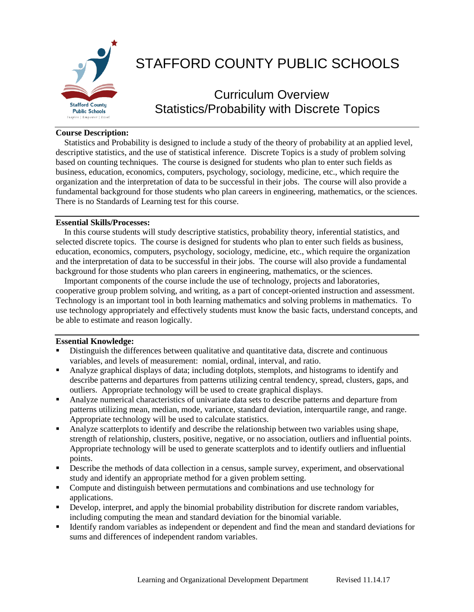

# STAFFORD COUNTY PUBLIC SCHOOLS

# Curriculum Overview Statistics/Probability with Discrete Topics

### **Course Description:**

 Statistics and Probability is designed to include a study of the theory of probability at an applied level, descriptive statistics, and the use of statistical inference. Discrete Topics is a study of problem solving based on counting techniques. The course is designed for students who plan to enter such fields as business, education, economics, computers, psychology, sociology, medicine, etc., which require the organization and the interpretation of data to be successful in their jobs. The course will also provide a fundamental background for those students who plan careers in engineering, mathematics, or the sciences. There is no Standards of Learning test for this course.

#### **Essential Skills/Processes:**

 In this course students will study descriptive statistics, probability theory, inferential statistics, and selected discrete topics. The course is designed for students who plan to enter such fields as business, education, economics, computers, psychology, sociology, medicine, etc., which require the organization and the interpretation of data to be successful in their jobs. The course will also provide a fundamental background for those students who plan careers in engineering, mathematics, or the sciences.

 Important components of the course include the use of technology, projects and laboratories, cooperative group problem solving, and writing, as a part of concept-oriented instruction and assessment. Technology is an important tool in both learning mathematics and solving problems in mathematics. To use technology appropriately and effectively students must know the basic facts, understand concepts, and be able to estimate and reason logically.

#### **Essential Knowledge:**

- Distinguish the differences between qualitative and quantitative data, discrete and continuous variables, and levels of measurement: nomial, ordinal, interval, and ratio.
- Analyze graphical displays of data; including dotplots, stemplots, and histograms to identify and describe patterns and departures from patterns utilizing central tendency, spread, clusters, gaps, and outliers. Appropriate technology will be used to create graphical displays.
- Analyze numerical characteristics of univariate data sets to describe patterns and departure from patterns utilizing mean, median, mode, variance, standard deviation, interquartile range, and range. Appropriate technology will be used to calculate statistics.
- Analyze scatterplots to identify and describe the relationship between two variables using shape, strength of relationship, clusters, positive, negative, or no association, outliers and influential points. Appropriate technology will be used to generate scatterplots and to identify outliers and influential points.
- Describe the methods of data collection in a census, sample survey, experiment, and observational study and identify an appropriate method for a given problem setting.
- Compute and distinguish between permutations and combinations and use technology for applications.
- Develop, interpret, and apply the binomial probability distribution for discrete random variables, including computing the mean and standard deviation for the binomial variable.
- Identify random variables as independent or dependent and find the mean and standard deviations for sums and differences of independent random variables.